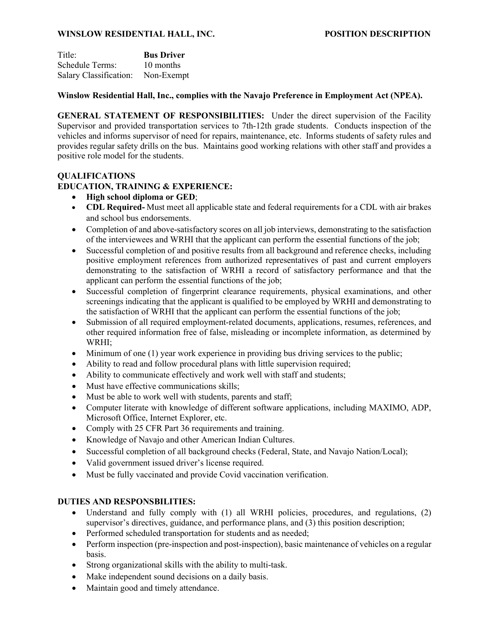## **WINSLOW RESIDENTIAL HALL, INC. POSITION DESCRIPTION**

| Title:                 | <b>Bus Driver</b> |
|------------------------|-------------------|
| Schedule Terms:        | 10 months         |
| Salary Classification: | Non-Exempt        |

## **Winslow Residential Hall, Inc., complies with the Navajo Preference in Employment Act (NPEA).**

**GENERAL STATEMENT OF RESPONSIBILITIES:** Under the direct supervision of the Facility Supervisor and provided transportation services to 7th-12th grade students. Conducts inspection of the vehicles and informs supervisor of need for repairs, maintenance, etc. Informs students of safety rules and provides regular safety drills on the bus. Maintains good working relations with other staff and provides a positive role model for the students.

#### **QUALIFICATIONS**

# **EDUCATION, TRAINING & EXPERIENCE:**

- **High school diploma or GED**;
- **CDL Required-** Must meet all applicable state and federal requirements for a CDL with air brakes and school bus endorsements.
- Completion of and above-satisfactory scores on all job interviews, demonstrating to the satisfaction of the interviewees and WRHI that the applicant can perform the essential functions of the job;
- Successful completion of and positive results from all background and reference checks, including positive employment references from authorized representatives of past and current employers demonstrating to the satisfaction of WRHI a record of satisfactory performance and that the applicant can perform the essential functions of the job;
- Successful completion of fingerprint clearance requirements, physical examinations, and other screenings indicating that the applicant is qualified to be employed by WRHI and demonstrating to the satisfaction of WRHI that the applicant can perform the essential functions of the job;
- Submission of all required employment-related documents, applications, resumes, references, and other required information free of false, misleading or incomplete information, as determined by WRHI;
- Minimum of one (1) year work experience in providing bus driving services to the public;
- Ability to read and follow procedural plans with little supervision required;
- Ability to communicate effectively and work well with staff and students;
- Must have effective communications skills:
- Must be able to work well with students, parents and staff;
- Computer literate with knowledge of different software applications, including MAXIMO, ADP, Microsoft Office, Internet Explorer, etc.
- Comply with 25 CFR Part 36 requirements and training.
- Knowledge of Navajo and other American Indian Cultures.
- Successful completion of all background checks (Federal, State, and Navajo Nation/Local);
- Valid government issued driver's license required.
- Must be fully vaccinated and provide Covid vaccination verification.

# **DUTIES AND RESPONSBILITIES:**

- Understand and fully comply with (1) all WRHI policies, procedures, and regulations, (2) supervisor's directives, guidance, and performance plans, and  $(3)$  this position description;
- Performed scheduled transportation for students and as needed;
- Perform inspection (pre-inspection and post-inspection), basic maintenance of vehicles on a regular basis.
- Strong organizational skills with the ability to multi-task.
- Make independent sound decisions on a daily basis.
- Maintain good and timely attendance.